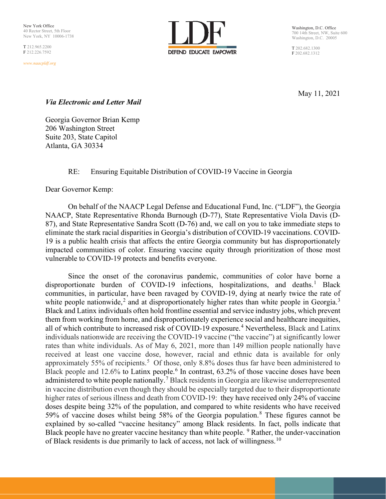T 212.965.2200 F 212.226.7592

*www.naacpldf.org*



Washington, D.C. Office 700 14th Street, NW, Suite 600 Washington, D.C. 20005

T 202.682.1300 F 202.682.1312

May 11, 2021

## *Via Electronic and Letter Mail*

Georgia Governor Brian Kemp 206 Washington Street Suite 203, State Capitol Atlanta, GA 30334

# RE: Ensuring Equitable Distribution of COVID-19 Vaccine in Georgia

Dear Governor Kemp:

On behalf of the NAACP Legal Defense and Educational Fund, Inc. ("LDF"), the Georgia NAACP, State Representative Rhonda Burnough (D-77), State Representative Viola Davis (D-87), and State Representative Sandra Scott (D-76) and, we call on you to take immediate steps to eliminate the stark racial disparities in Georgia's distribution of COVID-19 vaccinations. COVID-19 is a public health crisis that affects the entire Georgia community but has disproportionately impacted communities of color. Ensuring vaccine equity through prioritization of those most vulnerable to COVID-19 protects and benefits everyone.

Since the onset of the coronavirus pandemic, communities of color have borne a disproportionate burden of COVID-[1](#page-7-0)9 infections, hospitalizations, and deaths.<sup>1</sup> Black communities, in particular, have been ravaged by COVID-19, dying at nearly twice the rate of white people nationwide,<sup>[2](#page-8-0)</sup> and at disproportionately higher rates than white people in Georgia.<sup>[3](#page-8-1)</sup> Black and Latinx individuals often hold frontline essential and service industry jobs, which prevent them from working from home, and disproportionately experience social and healthcare inequities, all of which contribute to increased risk of COVID-19 exposure.<sup>[4](#page-8-2)</sup> Nevertheless, Black and Latinx individuals nationwide are receiving the COVID-19 vaccine ("the vaccine") at significantly lower rates than white individuals. As of May 6, 2021, more than 149 million people nationally have received at least one vaccine dose, however, racial and ethnic data is available for only approximately [5](#page-8-3)5% of recipients.<sup>5</sup> Of those, only 8.8% doses thus far have been administered to Black people and 12.[6](#page-8-4)% to Latinx people.<sup>6</sup> In contrast, 63.2% of those vaccine doses have been administered to white people nationally.<sup>[7](#page-8-5)</sup> Black residents in Georgia are likewise underrepresented in vaccine distribution even though they should be especially targeted due to their disproportionate higher rates of serious illness and death from COVID-19: they have received only 24% of vaccine doses despite being 32% of the population, and compared to white residents who have received 59% of vaccine doses whilst being 58% of the Georgia population.[8](#page-8-6) These figures cannot be explained by so-called "vaccine hesitancy" among Black residents. In fact, polls indicate that Black people have no greater vaccine hesitancy than white people. <sup>[9](#page-8-7)</sup> Rather, the under-vaccination of Black residents is due primarily to lack of access, not lack of willingness.<sup>[10](#page-8-8)</sup>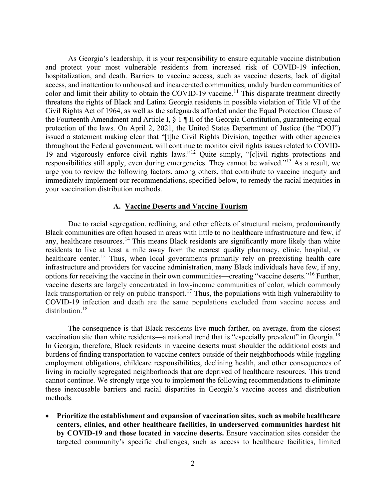As Georgia's leadership, it is your responsibility to ensure equitable vaccine distribution and protect your most vulnerable residents from increased risk of COVID-19 infection, hospitalization, and death. Barriers to vaccine access, such as vaccine deserts, lack of digital access, and inattention to unhoused and incarcerated communities, unduly burden communities of color and limit their ability to obtain the COVID-19 vaccine.<sup>[11](#page-8-9)</sup> This disparate treatment directly threatens the rights of Black and Latinx Georgia residents in possible violation of Title VI of the Civil Rights Act of 1964, as well as the safeguards afforded under the Equal Protection Clause of the Fourteenth Amendment and Article I, § 1 ¶ II of the Georgia Constitution, guaranteeing equal protection of the laws. On April 2, 2021, the United States Department of Justice (the "DOJ") issued a statement making clear that "[t]he Civil Rights Division, together with other agencies throughout the Federal government, will continue to monitor civil rights issues related to COVID-19 and vigorously enforce civil rights laws."[12](#page-8-10) Quite simply, "[c]ivil rights protections and responsibilities still apply, even during emergencies. They cannot be waived."[13](#page-8-11) As a result, we urge you to review the following factors, among others, that contribute to vaccine inequity and immediately implement our recommendations, specified below, to remedy the racial inequities in your vaccination distribution methods.

#### **A. Vaccine Deserts and Vaccine Tourism**

Due to racial segregation, redlining, and other effects of structural racism, predominantly Black communities are often housed in areas with little to no healthcare infrastructure and few, if any, healthcare resources.<sup>[14](#page-8-12)</sup> This means Black residents are significantly more likely than white residents to live at least a mile away from the nearest quality pharmacy, clinic, hospital, or healthcare center.<sup>[15](#page-8-13)</sup> Thus, when local governments primarily rely on preexisting health care infrastructure and providers for vaccine administration, many Black individuals have few, if any, options for receiving the vaccine in their own communities—creating "vaccine deserts."[16](#page-8-14) Further, vaccine deserts are largely concentrated in low-income communities of color, which commonly lack transportation or rely on public transport.<sup>[17](#page-8-15)</sup> Thus, the populations with high vulnerability to COVID-19 infection and death are the same populations excluded from vaccine access and distribution.<sup>[18](#page-8-16)</sup>

The consequence is that Black residents live much farther, on average, from the closest vaccination site than white residents—a national trend that is "especially prevalent" in Georgia.<sup>[19](#page-8-17)</sup> In Georgia, therefore, Black residents in vaccine deserts must shoulder the additional costs and burdens of finding transportation to vaccine centers outside of their neighborhoods while juggling employment obligations, childcare responsibilities, declining health, and other consequences of living in racially segregated neighborhoods that are deprived of healthcare resources. This trend cannot continue. We strongly urge you to implement the following recommendations to eliminate these inexcusable barriers and racial disparities in Georgia's vaccine access and distribution methods.

• **Prioritize the establishment and expansion of vaccination sites, such as mobile healthcare centers, clinics, and other healthcare facilities, in underserved communities hardest hit by COVID-19 and those located in vaccine deserts.** Ensure vaccination sites consider the targeted community's specific challenges, such as access to healthcare facilities, limited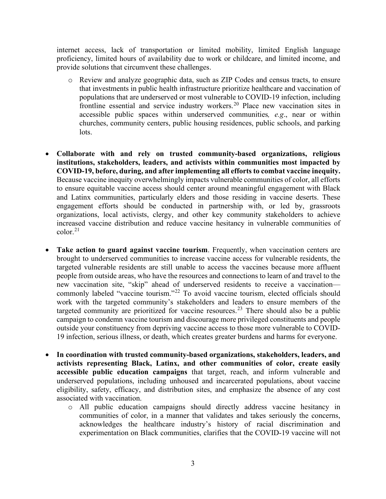internet access, lack of transportation or limited mobility, limited English language proficiency, limited hours of availability due to work or childcare, and limited income, and provide solutions that circumvent these challenges.

- o Review and analyze geographic data, such as ZIP Codes and census tracts, to ensure that investments in public health infrastructure prioritize healthcare and vaccination of populations that are underserved or most vulnerable to COVID-19 infection, including frontline essential and service industry workers.<sup>[20](#page-9-0)</sup> Place new vaccination sites in accessible public spaces within underserved communities*, e.g*., near or within churches, community centers, public housing residences, public schools, and parking lots.
- **Collaborate with and rely on trusted community-based organizations, religious institutions, stakeholders, leaders, and activists within communities most impacted by COVID-19, before, during, and after implementing all efforts to combat vaccine inequity.** Because vaccine inequity overwhelmingly impacts vulnerable communities of color, all efforts to ensure equitable vaccine access should center around meaningful engagement with Black and Latinx communities, particularly elders and those residing in vaccine deserts. These engagement efforts should be conducted in partnership with, or led by, grassroots organizations, local activists, clergy, and other key community stakeholders to achieve increased vaccine distribution and reduce vaccine hesitancy in vulnerable communities of color. [21](#page-9-1)
- Take action to guard against vaccine tourism. Frequently, when vaccination centers are brought to underserved communities to increase vaccine access for vulnerable residents, the targeted vulnerable residents are still unable to access the vaccines because more affluent people from outside areas, who have the resources and connections to learn of and travel to the new vaccination site, "skip" ahead of underserved residents to receive a vaccination— commonly labeled "vaccine tourism."<sup>[22](#page-9-2)</sup> To avoid vaccine tourism, elected officials should work with the targeted community's stakeholders and leaders to ensure members of the targeted community are prioritized for vaccine resources.<sup>[23](#page-9-3)</sup> There should also be a public campaign to condemn vaccine tourism and discourage more privileged constituents and people outside your constituency from depriving vaccine access to those more vulnerable to COVID-19 infection, serious illness, or death, which creates greater burdens and harms for everyone.
- **In coordination with trusted community-based organizations, stakeholders, leaders, and activists representing Black, Latinx, and other communities of color, create easily accessible public education campaigns** that target, reach, and inform vulnerable and underserved populations, including unhoused and incarcerated populations, about vaccine eligibility, safety, efficacy, and distribution sites, and emphasize the absence of any cost associated with vaccination.
	- o All public education campaigns should directly address vaccine hesitancy in communities of color, in a manner that validates and takes seriously the concerns, acknowledges the healthcare industry's history of racial discrimination and experimentation on Black communities, clarifies that the COVID-19 vaccine will not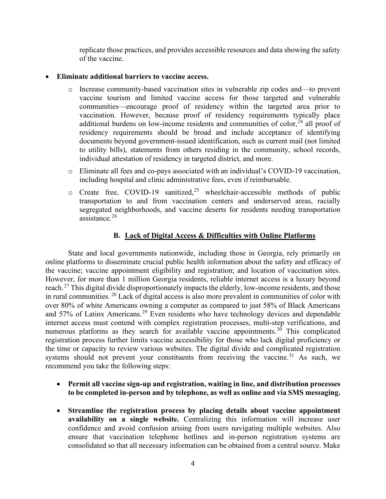replicate those practices, and provides accessible resources and data showing the safety of the vaccine.

### • **Eliminate additional barriers to vaccine access.**

- o Increase community-based vaccination sites in vulnerable zip codes and—to prevent vaccine tourism and limited vaccine access for those targeted and vulnerable communities—encourage proof of residency within the targeted area prior to vaccination. However, because proof of residency requirements typically place additional burdens on low-income residents and communities of color,  $^{24}$  $^{24}$  $^{24}$  all proof of residency requirements should be broad and include acceptance of identifying documents beyond government-issued identification, such as current mail (not limited to utility bills), statements from others residing in the community, school records, individual attestation of residency in targeted district, and more.
- o Eliminate all fees and co-pays associated with an individual's COVID-19 vaccination, including hospital and clinic administrative fees, even if reimbursable.
- $\circ$  Create free, COVID-19 sanitized,<sup>[25](#page-9-5)</sup> wheelchair-accessible methods of public transportation to and from vaccination centers and underserved areas, racially segregated neighborhoods, and vaccine deserts for residents needing transportation assistance.[26](#page-9-6)

# **B. Lack of Digital Access & Difficulties with Online Platforms**

State and local governments nationwide, including those in Georgia, rely primarily on online platforms to disseminate crucial public health information about the safety and efficacy of the vaccine; vaccine appointment eligibility and registration; and location of vaccination sites. However, for more than 1 million Georgia residents, reliable internet access is a luxury beyond reach.<sup>[27](#page-9-7)</sup> This digital divide disproportionately impacts the elderly, low-income residents, and those in rural communities. [28](#page-9-8) Lack of digital access is also more prevalent in communities of color with over 80% of white Americans owning a computer as compared to just 58% of Black Americans and  $57\%$  of Latinx Americans.<sup>[29](#page-9-9)</sup> Even residents who have technology devices and dependable internet access must contend with complex registration processes, multi-step verifications, and numerous platforms as they search for available vaccine appointments.[30](#page-9-10) This complicated registration process further limits vaccine accessibility for those who lack digital proficiency or the time or capacity to review various websites. The digital divide and complicated registration systems should not prevent your constituents from receiving the vaccine.<sup>[31](#page-9-11)</sup> As such, we recommend you take the following steps:

- **Permit all vaccine sign-up and registration, waiting in line, and distribution processes to be completed in-person and by telephone, as well as online and via SMS messaging.**
- **Streamline the registration process by placing details about vaccine appointment availability on a single website.** Centralizing this information will increase user confidence and avoid confusion arising from users navigating multiple websites. Also ensure that vaccination telephone hotlines and in-person registration systems are consolidated so that all necessary information can be obtained from a central source. Make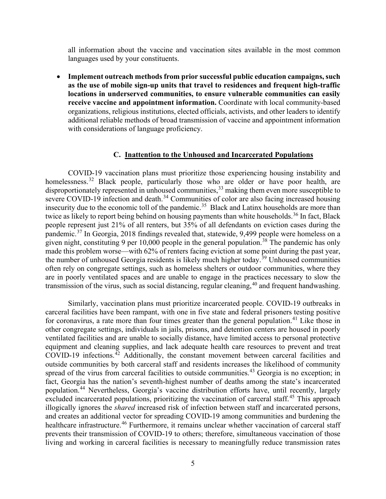all information about the vaccine and vaccination sites available in the most common languages used by your constituents.

• **Implement outreach methods from prior successful public education campaigns, such as the use of mobile sign-up units that travel to residences and frequent high-traffic locations in underserved communities, to ensure vulnerable communities can easily receive vaccine and appointment information.** Coordinate with local community-based organizations, religious institutions, elected officials, activists, and other leaders to identify additional reliable methods of broad transmission of vaccine and appointment information with considerations of language proficiency.

#### **C. Inattention to the Unhoused and Incarcerated Populations**

COVID-19 vaccination plans must prioritize those experiencing housing instability and homelessness.<sup>[32](#page-9-12)</sup> Black people, particularly those who are older or have poor health, are disproportionately represented in unhoused communities,<sup>[33](#page-9-13)</sup> making them even more susceptible to severe COVID-19 infection and death.<sup>[34](#page-10-0)</sup> Communities of color are also facing increased housing insecurity due to the economic toll of the pandemic.<sup>35</sup> Black and Latinx households are more than twice as likely to report being behind on housing payments than white households.<sup>[36](#page-10-2)</sup> In fact, Black people represent just 21% of all renters, but 35% of all defendants on eviction cases during the pandemic.<sup>[37](#page-10-3)</sup> In Georgia, 2018 findings revealed that, statewide, 9,499 people were homeless on a given night, constituting 9 per  $10,000$  people in the general population.<sup>[38](#page-10-4)</sup> The pandemic has only made this problem worse—with 62% of renters facing eviction at some point during the past year, the number of unhoused Georgia residents is likely much higher today.<sup>[39](#page-10-5)</sup> Unhoused communities often rely on congregate settings, such as homeless shelters or outdoor communities, where they are in poorly ventilated spaces and are unable to engage in the practices necessary to slow the transmission of the virus, such as social distancing, regular cleaning, <sup>[40](#page-10-6)</sup> and frequent handwashing.

Similarly, vaccination plans must prioritize incarcerated people. COVID-19 outbreaks in carceral facilities have been rampant, with one in five state and federal prisoners testing positive for coronavirus, a rate more than four times greater than the general population.<sup>[41](#page-10-7)</sup> Like those in other congregate settings, individuals in jails, prisons, and detention centers are housed in poorly ventilated facilities and are unable to socially distance, have limited access to personal protective equipment and cleaning supplies, and lack adequate health care resources to prevent and treat  $CovID-19$  infections.<sup> $\bar{4}2$ </sup> Additionally, the constant movement between carceral facilities and outside communities by both carceral staff and residents increases the likelihood of community spread of the virus from carceral facilities to outside communities.<sup>[43](#page-10-9)</sup> Georgia is no exception; in fact, Georgia has the nation's seventh-highest number of deaths among the state's incarcerated population.[44](#page-10-10) Nevertheless, Georgia's vaccine distribution efforts have, until recently, largely excluded incarcerated populations, prioritizing the vaccination of carceral staff.<sup>[45](#page-10-11)</sup> This approach illogically ignores the *shared* increased risk of infection between staff and incarcerated persons, and creates an additional vector for spreading COVID-19 among communities and burdening the healthcare infrastructure.<sup>[46](#page-10-12)</sup> Furthermore, it remains unclear whether vaccination of carceral staff prevents their transmission of COVID-19 to others; therefore, simultaneous vaccination of those living and working in carceral facilities is necessary to meaningfully reduce transmission rates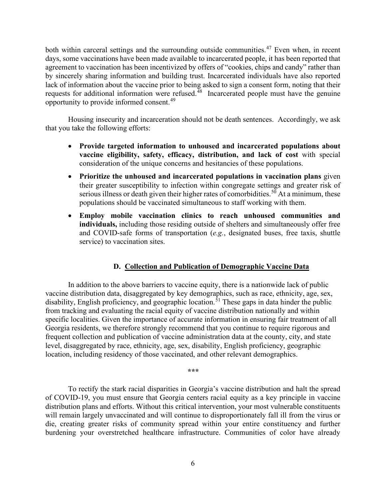both within carceral settings and the surrounding outside communities.<sup>[47](#page-10-13)</sup> Even when, in recent days, some vaccinations have been made available to incarcerated people, it has been reported that agreement to vaccination has been incentivized by offers of "cookies, chips and candy" rather than by sincerely sharing information and building trust. Incarcerated individuals have also reported lack of information about the vaccine prior to being asked to sign a consent form, noting that their requests for additional information were refused.<sup>[48](#page-10-14)</sup> Incarcerated people must have the genuine opportunity to provide informed consent. $49$ 

Housing insecurity and incarceration should not be death sentences. Accordingly, we ask that you take the following efforts:

- **Provide targeted information to unhoused and incarcerated populations about vaccine eligibility, safety, efficacy, distribution, and lack of cost** with special consideration of the unique concerns and hesitancies of these populations.
- **Prioritize the unhoused and incarcerated populations in vaccination plans** given their greater susceptibility to infection within congregate settings and greater risk of serious illness or death given their higher rates of comorbidities.<sup>[50](#page-10-16)</sup> At a minimum, these populations should be vaccinated simultaneous to staff working with them.
- **Employ mobile vaccination clinics to reach unhoused communities and individuals,** including those residing outside of shelters and simultaneously offer free and COVID-safe forms of transportation (*e.g.*, designated buses, free taxis, shuttle service) to vaccination sites.

### **D. Collection and Publication of Demographic Vaccine Data**

In addition to the above barriers to vaccine equity, there is a nationwide lack of public vaccine distribution data, disaggregated by key demographics, such as race, ethnicity, age, sex, disability, English proficiency, and geographic location.<sup>[51](#page-10-17)</sup> These gaps in data hinder the public from tracking and evaluating the racial equity of vaccine distribution nationally and within specific localities. Given the importance of accurate information in ensuring fair treatment of all Georgia residents, we therefore strongly recommend that you continue to require rigorous and frequent collection and publication of vaccine administration data at the county, city, and state level, disaggregated by race, ethnicity, age, sex, disability, English proficiency, geographic location, including residency of those vaccinated, and other relevant demographics.

*\*\*\**

To rectify the stark racial disparities in Georgia's vaccine distribution and halt the spread of COVID-19, you must ensure that Georgia centers racial equity as a key principle in vaccine distribution plans and efforts. Without this critical intervention, your most vulnerable constituents will remain largely unvaccinated and will continue to disproportionately fall ill from the virus or die, creating greater risks of community spread within your entire constituency and further burdening your overstretched healthcare infrastructure. Communities of color have already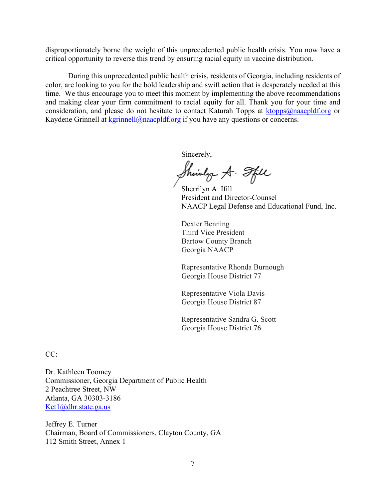disproportionately borne the weight of this unprecedented public health crisis. You now have a critical opportunity to reverse this trend by ensuring racial equity in vaccine distribution.

During this unprecedented public health crisis, residents of Georgia, including residents of color, are looking to you for the bold leadership and swift action that is desperately needed at this time. We thus encourage you to meet this moment by implementing the above recommendations and making clear your firm commitment to racial equity for all. Thank you for your time and consideration, and please do not hesitate to contact Katurah Topps at [ktopps@naacpldf.org](mailto:ktopps@naacpldf.org) or Kaydene Grinnell at  $kgrinnell@naacpdf.org$  if you have any questions or concerns.

Sincerely,

Shinly A. Sfill

Sherrilyn A. Ifill President and Director-Counsel NAACP Legal Defense and Educational Fund, Inc.

Dexter Benning Third Vice President Bartow County Branch Georgia NAACP

Representative Rhonda Burnough Georgia House District 77

Representative Viola Davis Georgia House District 87

Representative Sandra G. Scott Georgia House District 76

CC:

Dr. Kathleen Toomey Commissioner, Georgia Department of Public Health 2 Peachtree Street, NW Atlanta, GA 30303-3186 [Ket1@dhr.state.ga.us](mailto:Ket1@dhr.state.ga.us)

Jeffrey E. Turner Chairman, Board of Commissioners, Clayton County, GA 112 Smith Street, Annex 1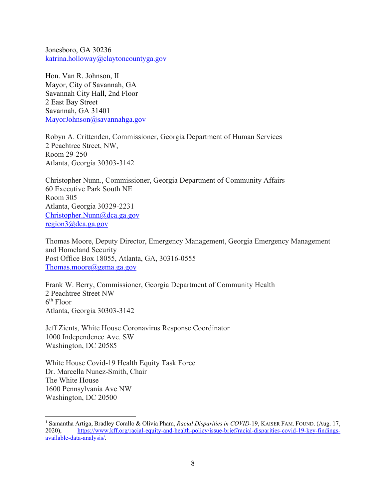Jonesboro, GA 30236 [katrina.holloway@claytoncountyga.gov](mailto:katrina.holloway@claytoncountyga.gov)

Hon. Van R. Johnson, II Mayor, City of Savannah, GA Savannah City Hall, 2nd Floor 2 East Bay Street Savannah, GA 31401 [MayorJohnson@savannahga.gov](mailto:MayorJohnson@savannahga.gov)

Robyn A. Crittenden, Commissioner, Georgia Department of Human Services 2 Peachtree Street, NW, Room 29-250 Atlanta, Georgia 30303-3142

Christopher Nunn., Commissioner, Georgia Department of Community Affairs 60 Executive Park South NE Room 305 Atlanta, Georgia 30329-2231 [Christopher.Nunn@dca.ga.gov](mailto:Christopher.Nunn@dca.ga.gov) [region3@dca.ga.gov](mailto:region3@dca.ga.gov)

Thomas Moore, Deputy Director, Emergency Management, Georgia Emergency Management and Homeland Security Post Office Box 18055, Atlanta, GA, 30316-0555 [Thomas.moore@gema.ga.gov](mailto:Thomas.moore@gema.ga.gov)

Frank W. Berry, Commissioner, Georgia Department of Community Health 2 Peachtree Street NW 6th Floor Atlanta, Georgia 30303-3142

Jeff Zients, White House Coronavirus Response Coordinator 1000 Independence Ave. SW Washington, DC 20585

White House Covid-19 Health Equity Task Force Dr. Marcella Nunez-Smith, Chair The White House 1600 Pennsylvania Ave NW Washington, DC 20500

<span id="page-7-0"></span><sup>1</sup> Samantha Artiga, Bradley Corallo & Olivia Pham, *Racial Disparities in COVID-*19, KAISER FAM. FOUND. (Aug. 17, 2020), [https://www.kff.org/racial-equity-and-health-policy/issue-brief/racial-disparities-covid-19-key-findings](https://www.kff.org/racial-equity-and-health-policy/issue-brief/racial-disparities-covid-19-key-findings-available-data-analysis/)[available-data-analysis/.](https://www.kff.org/racial-equity-and-health-policy/issue-brief/racial-disparities-covid-19-key-findings-available-data-analysis/)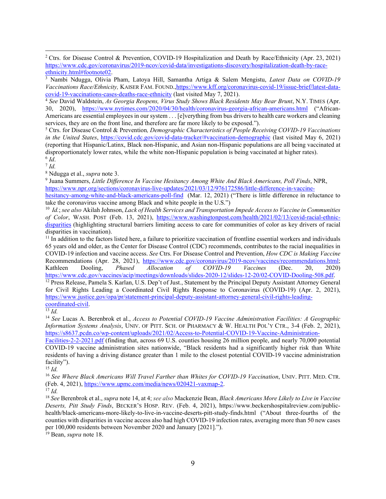<span id="page-8-1"></span><sup>3</sup> Nambi Ndugga, Olivia Pham, Latoya Hill, Samantha Artiga & Salem Mengistu, *Latest Data on COVID-19 Vaccinations Race/Ethnicity,* KAISER FAM. FOUND[.,https://www.kff.org/coronavirus-covid-19/issue-brief/latest-data](https://www.kff.org/coronavirus-covid-19/issue-brief/latest-data-covid-19-vaccinations-cases-deaths-race-ethnicity/)[covid-19-vaccinations-cases-deaths-race-ethnicity](https://www.kff.org/coronavirus-covid-19/issue-brief/latest-data-covid-19-vaccinations-cases-deaths-race-ethnicity/) (last visited May 7, 2021).

<span id="page-8-2"></span><sup>4</sup> *See* David Waldstein, *As Georgia Reopens, Virus Study Shows Black Residents May Bear Brunt*, N.Y. TIMES (Apr. 30, 2020), <https://www.nytimes.com/2020/04/30/health/coronavirus-georgia-african-americans.html> ("African-Americans are essential employees in our system . . . [e]verything from bus drivers to health care workers and cleaning services, they are on the front line, and therefore are far more likely to be exposed.").

<span id="page-8-3"></span><sup>5</sup> Ctrs. for Disease Control & Prevention*, Demographic Characteristics of People Receiving COVID-19 Vaccinations in the United States*,<https://covid.cdc.gov/covid-data-tracker/#vaccination-demographic> (last visited May 6, 2021) (reporting that Hispanic/Latinx, Black non-Hispanic, and Asian non-Hispanic populations are all being vaccinated at disproportionately lower rates, while the white non-Hispanic population is being vaccinated at higher rates).  $6$  *Id.* 

<span id="page-8-5"></span><span id="page-8-4"></span> $^7$  *Id.* 

<span id="page-8-7"></span><span id="page-8-6"></span><sup>8</sup> Ndugga et al., *supra* note 3.<br><sup>9</sup> Juana Summers, *Little Difference In Vaccine Hesitancy Among White And Black Americans, Poll Finds, NPR,* [https://www.npr.org/sections/coronavirus-live-updates/2021/03/12/976172586/little-difference-in-vaccine-](https://www.npr.org/sections/coronavirus-live-updates/2021/03/12/976172586/little-difference-in-vaccine-hesitancy-among-white-and-black-americans-poll-find)

[hesitancy-among-white-and-black-americans-poll-find](https://www.npr.org/sections/coronavirus-live-updates/2021/03/12/976172586/little-difference-in-vaccine-hesitancy-among-white-and-black-americans-poll-find) (Mar. 12, 2021) ("There is little difference in reluctance to take the coronavirus vaccine among Black and white people in the U.S.")

<span id="page-8-8"></span>10 *Id.*; *see also* Akilah Johnson, *Lack of Health Services and Transportation Impede Access to Vaccine in Communities of Color*, WASH. POST (Feb. 13, 2021), [https://www.washingtonpost.com/health/2021/02/13/covid-racial-ethnic](https://www.washingtonpost.com/health/2021/02/13/covid-racial-ethnic-disparities)[disparities](https://www.washingtonpost.com/health/2021/02/13/covid-racial-ethnic-disparities) (highlighting structural barriers limiting access to care for communities of color as key drivers of racial disparities in vaccination).

<span id="page-8-9"></span> $11$  In addition to the factors listed here, a failure to prioritize vaccination of frontline essential workers and individuals 65 years old and older, as the Center for Disease Control (CDC) recommends, contributes to the racial inequalities in COVID-19 infection and vaccine access. *See* Ctrs. For Disease Control and Prevention, *How CDC is Making Vaccine*  Recommendations (Apr. 28, 2021), [https://www.cdc.gov/coronavirus/2019-ncov/vaccines/recommendations.html;](https://www.cdc.gov/coronavirus/2019-ncov/vaccines/recommendations.html) Kathleen Dooling, *Phased Allocation of COVID-19 Vaccines* (Dec. 20, 2020) [https://www.cdc.gov/vaccines/acip/meetings/downloads/slides-2020-12/slides-12-20/02-COVID-Dooling-508.pdf.](https://www.cdc.gov/vaccines/acip/meetings/downloads/slides-2020-12/slides-12-20/02-COVID-Dooling-508.pdf)

<span id="page-8-10"></span><sup>12</sup> Press Release, Pamela S. Karlan, U.S. Dep't of Just., Statement by the Principal Deputy Assistant Attorney General for Civil Rights Leading a Coordinated Civil Rights Response to Coronavirus (COVID-19) (Apr. 2, 2021), [https://www.justice.gov/opa/pr/statement-principal-deputy-assistant-attorney-general-civil-rights-leading](https://www.justice.gov/opa/pr/statement-principal-deputy-assistant-attorney-general-civil-rights-leading-coordinated-civil)[coordinated-civil.](https://www.justice.gov/opa/pr/statement-principal-deputy-assistant-attorney-general-civil-rights-leading-coordinated-civil) 13 *Id.*

<span id="page-8-11"></span>

<span id="page-8-12"></span><sup>14</sup> *See* Lucas A. Berenbrok et al., *Access to Potential COVID-19 Vaccine Administration Facilities: A Geographic Information Systems Analysis*, UNIV. OF PITT. SCH. OF PHARMACY & W. HEALTH POL'Y CTR., 3-4 (Feb. 2, 2021), [https://s8637.pcdn.co/wp-content/uploads/2021/02/Access-to-Potential-COVID-19-Vaccine-Administration-](https://s8637.pcdn.co/wp-content/uploads/2021/02/Access-to-Potential-COVID-19-Vaccine-Administration-Facilities-2-2-2021.pdf)

[Facilities-2-2-2021.pdf](https://s8637.pcdn.co/wp-content/uploads/2021/02/Access-to-Potential-COVID-19-Vaccine-Administration-Facilities-2-2-2021.pdf) (finding that, across 69 U.S. counties housing 26 million people, and nearly 70,000 potential COVID-19 vaccine administration sites nationwide, "Black residents had a significantly higher risk than White residents of having a driving distance greater than 1 mile to the closest potential COVID-19 vaccine administration facility").

<span id="page-8-13"></span><sup>15</sup> *Id.*

<span id="page-8-14"></span><sup>16</sup> *See Where Black Americans Will Travel Farther than Whites for COVID-19 Vaccination*, UNIV. PITT. MED. CTR. (Feb. 4, 2021)[, https://www.upmc.com/media/news/020421-vaxmap-2.](https://www.upmc.com/media/news/020421-vaxmap-2)

<span id="page-8-15"></span><sup>17</sup> *Id.*

<span id="page-8-16"></span><sup>18</sup> *See* Berenbrok et al., *supra* note 14, at 4; *see also* Mackenzie Bean, *Black Americans More Likely to Live in Vaccine Deserts, Pitt Study Finds*, BECKER'S HOSP. REV. (Feb. 4, 2021), [https://www.beckershospitalreview.com/public](https://www.beckershospitalreview.com/public-health/black-americans-more-likely-to-live-in-vaccine-deserts-pitt-study-finds.html)[health/black-americans-more-likely-to-live-in-vaccine-deserts-pitt-study-finds.html](https://www.beckershospitalreview.com/public-health/black-americans-more-likely-to-live-in-vaccine-deserts-pitt-study-finds.html) ("About three-fourths of the counties with disparities in vaccine access also had high COVID-19 infection rates, averaging more than 50 new cases per 100,000 residents between November 2020 and January [2021].").

<span id="page-8-17"></span><sup>19</sup> Bean, *supra* note 18.

<span id="page-8-0"></span><sup>2</sup> Ctrs. for Disease Control & Prevention, COVID-19 Hospitalization and Death by Race/Ethnicity (Apr. 23, 2021) [https://www.cdc.gov/coronavirus/2019-ncov/covid-data/investigations-discovery/hospitalization-death-by-race](https://www.cdc.gov/coronavirus/2019-ncov/covid-data/investigations-discovery/hospitalization-death-by-race-ethnicity.html#footnote02)[ethnicity.html#footnote02.](https://www.cdc.gov/coronavirus/2019-ncov/covid-data/investigations-discovery/hospitalization-death-by-race-ethnicity.html#footnote02)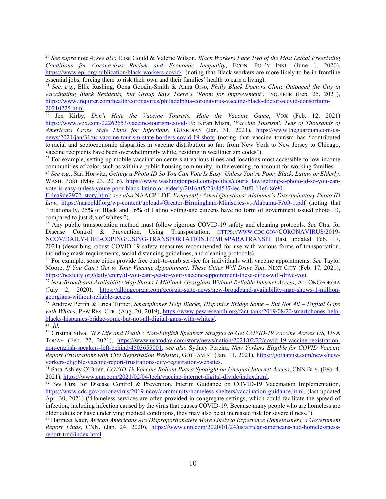<span id="page-9-1"></span><sup>21</sup> *See, e.g.*, Ellie Rushing, Oona Goodin-Smith & Anna Orso, *Philly Black Doctors Clinic Outpaced the City in Vaccinating Black Residents, but Group Says There's 'Room for Improvement*', INQUIRER (Feb. 25, 2021), [https://www.inquirer.com/health/coronavirus/philadelphia-coronavirus-vaccine-black-doctors-covid-consortium-](https://www.inquirer.com/health/coronavirus/philadelphia-coronavirus-vaccine-black-doctors-covid-consortium-20210225.html)[20210225.html.](https://www.inquirer.com/health/coronavirus/philadelphia-coronavirus-vaccine-black-doctors-covid-consortium-20210225.html)

<span id="page-9-2"></span><sup>22</sup> Jen Kirby, *Don't Hate the Vaccine Tourists, Hate the Vaccine Game*, VOX (Feb. 12, 2021) [https://www.vox.com/22262653/vaccine-tourism-covid-19;](https://www.vox.com/22262653/vaccine-tourism-covid-19) Kiran Misra, *'Vaccine Tourism': Tens of Thousands of Americans Cross State Lines for Injections,* GUARDIAN (Jan. 31, 2021), [https://www.theguardian.com/us](https://www.theguardian.com/us-news/2021/jan/31/us-vaccine-tourism-state-borders-covid-19-shots)[news/2021/jan/31/us-vaccine-tourism-state-borders-covid-19-shots](https://www.theguardian.com/us-news/2021/jan/31/us-vaccine-tourism-state-borders-covid-19-shots) (noting that vaccine tourism has "contributed to racial and socioeconomic disparities in vaccine distribution so far: from New York to New Jersey to Chicago, vaccine recipients have been overwhelmingly white, residing in wealthier zip codes").

<span id="page-9-3"></span> $23$  For example, setting up mobile vaccination centers at various times and locations most accessible to low-income communities of color, such as within a public housing community, in the evening, to account for working families.

<span id="page-9-4"></span><sup>24</sup> *See e.g.*, Sari Horwitz, *Getting a Photo ID So You Can Vote Is Easy. Unless You're Poor, Black, Latino or Elderly,* WASH. POST (May 23, 2016), [https://www.washingtonpost.com/politics/courts\\_law/getting-a-photo-id-so-you-can](https://www.washingtonpost.com/politics/courts_law/getting-a-photo-id-so-you-can-vote-is-easy-unless-youre-poor-black-latino-or-elderly/2016/05/23/8d5474ec-20f0-11e6-8690-f14ca9de2972_story.html)[vote-is-easy-unless-youre-poor-black-latino-or-elderly/2016/05/23/8d5474ec-20f0-11e6-8690-](https://www.washingtonpost.com/politics/courts_law/getting-a-photo-id-so-you-can-vote-is-easy-unless-youre-poor-black-latino-or-elderly/2016/05/23/8d5474ec-20f0-11e6-8690-f14ca9de2972_story.html)

[f14ca9de2972\\_story.html;](https://www.washingtonpost.com/politics/courts_law/getting-a-photo-id-so-you-can-vote-is-easy-unless-youre-poor-black-latino-or-elderly/2016/05/23/8d5474ec-20f0-11e6-8690-f14ca9de2972_story.html) *see also* NAACP LDF, *Frequently Asked Questions: Alabama's Discriminatory Photo ID Law*, <https://naacpldf.org/wp-content/uploads/Greater-Birmingham-Ministries-v.-Alabama-FAQ-1.pdf> (noting that "[n]ationally, 25% of Black and 16% of Latino voting-age citizens have no form of government issued photo ID, compared to just 8% of whites.").

<span id="page-9-5"></span><sup>25</sup> Any public transportation method must follow rigorous COVID-19 safety and cleaning protocols. *See* Ctrs. for Disease Control & Prevention, Using Transportation, [HTTPS://WWW.CDC.GOV/CORONAVIRUS/2019-](https://www.cdc.gov/CORONAVIRUS/2019-NCOV/DAILY-LIFE-COPING/USING-TRANSPORTATION.HTML#PARATRANSIT) [NCOV/DAILY-LIFE-COPING/USING-TRANSPORTATION.HTML#PARATRANSIT](https://www.cdc.gov/CORONAVIRUS/2019-NCOV/DAILY-LIFE-COPING/USING-TRANSPORTATION.HTML#PARATRANSIT) (last updated Feb. 17, 2021) (describing robust COVID-19 safety measures recommended for use with various forms of transportation, including mask requirements, social distancing guidelines, and cleaning protocols).

<span id="page-9-6"></span><sup>26</sup> For example, some cities provide free curb-to-curb service for individuals with vaccine appointments. *See* Taylor Moore, *If You Can't Get to Your Vaccine Appointment, These Cities Will Drive You*, NEXT CITY (Feb. 17, 2021), [https://nextcity.org/daily/entry/if-you-cant-get-to-your-vaccine-appointment-these-cities-will-drive-you.](https://nextcity.org/daily/entry/if-you-cant-get-to-your-vaccine-appointment-these-cities-will-drive-you)

<span id="page-9-7"></span><sup>27</sup> New Broadband Availability Map Shows 1 Million+ Georgians Without Reliable Internet Access, ALLONGEORGIA (July 2, 2020), https://allongeorgia.com/georgia-state-news/new-broadband-availability-map-shows-1-million-georgians-without-reliable-access.

<span id="page-9-8"></span><sup>28</sup> Andrew Perrin & Erica Turner, *Smartphones Help Blacks, Hispanics Bridge Some – But Not All – Digital Gaps* with Whites, PEW RES. CTR. (Aug. 20, 2019), [https://www.pewresearch.org/fact-tank/2019/08/20/smartphones-help](https://www.pewresearch.org/fact-tank/2019/08/20/smartphones-help-blacks-hispanics-bridge-some-but-not-all-digital-gaps-with-whites/)[blacks-hispanics-bridge-some-but-not-all-digital-gaps-with-whites/.](https://www.pewresearch.org/fact-tank/2019/08/20/smartphones-help-blacks-hispanics-bridge-some-but-not-all-digital-gaps-with-whites/) 29 *Id.*

<span id="page-9-10"></span><span id="page-9-9"></span><sup>30</sup> Cristina Silva, 'It's Life and Death': Non-English Speakers Struggle to Get COVID-19 Vaccine Across US, USA TODAY (Feb. 22, 2021), [https://www.usatoday.com/story/news/nation/2021/02/22/covid-19-vaccine-registration](https://www.usatoday.com/story/news/nation/2021/02/22/covid-19-vaccine-registration-non-english-speakers-left-behind/4503655001)[non-english-speakers-left-behind/4503655001;](https://www.usatoday.com/story/news/nation/2021/02/22/covid-19-vaccine-registration-non-english-speakers-left-behind/4503655001) *see also* Sydney Pereira*, New Yorkers Eligible for COVID Vaccine Report Frustrations with City Registration Websites*, GOTHAMIST (Jan. 11, 2021), [https://gothamist.com/news/new](https://gothamist.com/news/new-yorkers-eligible-vaccine-report-frustrations-city-registration-websites)[yorkers-eligible-vaccine-report-frustrations-city-registration-websites.](https://gothamist.com/news/new-yorkers-eligible-vaccine-report-frustrations-city-registration-websites) 31 Sara Ashley O'Brien, *COVID-19 Vaccine Rollout Puts a Spotlight on Unequal Internet Access*, CNN BUS. (Feb. 4,

<span id="page-9-11"></span>2021), [https://www.cnn.com/2021/02/04/tech/vaccine-internet-digital-divide/index.html.](https://www.cnn.com/2021/02/04/tech/vaccine-internet-digital-divide/index.html) 32 *See* Ctrs. for Disease Control & Prevention, Interim Guidance on COVID-19 Vaccination Implementation,

<span id="page-9-12"></span>[https://www.cdc.gov/coronavirus/2019-ncov/community/homeless-shelters/vaccination-guidance.html.](https://www.cdc.gov/coronavirus/2019-ncov/community/homeless-shelters/vaccination-guidance.html) (last updated Apr. 30, 2021) ("Homeless services are often provided in congregate settings, which could facilitate the spread of infection, including infection caused by the virus that causes COVID-19. Because many people who are homeless are older adults or have underlying medical conditions, they may also be at increased risk for severe illness.").

<span id="page-9-13"></span><sup>33</sup> Harmeet Kaur, *African Americans Are Disproportionately More Likely to Experience Homelessness, a Government Report Finds*, CNN, (Jan. 24, 2020), [https://www.cnn.com/2020/01/24/us/african-americans-hud-homelessness](https://www.cnn.com/2020/01/24/us/african-americans-hud-homelessness-report-trnd/index.html)[report-trnd/index.html.](https://www.cnn.com/2020/01/24/us/african-americans-hud-homelessness-report-trnd/index.html)

<span id="page-9-0"></span><sup>20</sup> *See supra* note 4; *see also* Elise Gould & Valerie Wilson, *Black Workers Face Two of the Most Lethal Preexisting Conditions for Coronavirus—Racism and Economic Inequality*, ECON. POL'Y INST. (June 1, 2020), <https://www.epi.org/publication/black-workers-covid/> (noting that Black workers are more likely to be in frontline essential jobs, forcing them to risk their own and their families' health to earn a living).